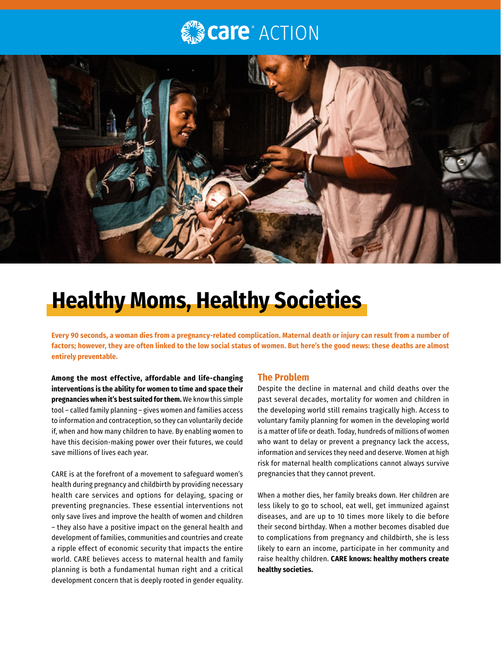# **Care**® ACTION



## **Healthy Moms, Healthy Societies**

**Every 90 seconds, a woman dies from a pregnancy-related complication. Maternal death or injury can result from a number of factors; however, they are often linked to the low social status of women. But here's the good news: these deaths are almost entirely preventable.**

**Among the most effective, affordable and life-changing interventions is the ability for women to time and space their pregnancies when it's best suited for them.** We know this simple tool – called family planning – gives women and families access to information and contraception, so they can voluntarily decide if, when and how many children to have. By enabling women to have this decision-making power over their futures, we could save millions of lives each year.

CARE is at the forefront of a movement to safeguard women's health during pregnancy and childbirth by providing necessary health care services and options for delaying, spacing or preventing pregnancies. These essential interventions not only save lives and improve the health of women and children – they also have a positive impact on the general health and development of families, communities and countries and create a ripple effect of economic security that impacts the entire world. CARE believes access to maternal health and family planning is both a fundamental human right and a critical development concern that is deeply rooted in gender equality.

### **The Problem**

Despite the decline in maternal and child deaths over the past several decades, mortality for women and children in the developing world still remains tragically high. Access to voluntary family planning for women in the developing world is a matter of life or death. Today, hundreds of millions of women who want to delay or prevent a pregnancy lack the access, information and services they need and deserve. Women at high risk for maternal health complications cannot always survive pregnancies that they cannot prevent.

When a mother dies, her family breaks down. Her children are less likely to go to school, eat well, get immunized against diseases, and are up to 10 times more likely to die before their second birthday. When a mother becomes disabled due to complications from pregnancy and childbirth, she is less likely to earn an income, participate in her community and raise healthy children. **CARE knows: healthy mothers create healthy societies.**